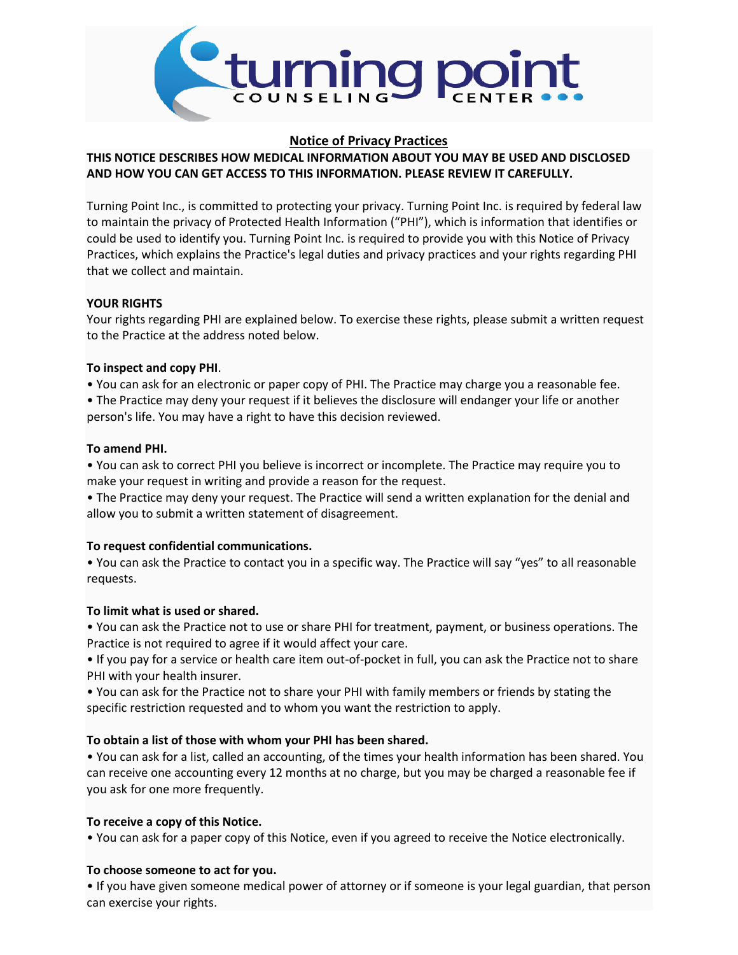

### **Notice of Privacy Practices**

## **THIS NOTICE DESCRIBES HOW MEDICAL INFORMATION ABOUT YOU MAY BE USED AND DISCLOSED AND HOW YOU CAN GET ACCESS TO THIS INFORMATION. PLEASE REVIEW IT CAREFULLY.**

Turning Point Inc., is committed to protecting your privacy. Turning Point Inc. is required by federal law to maintain the privacy of Protected Health Information ("PHI"), which is information that identifies or could be used to identify you. Turning Point Inc. is required to provide you with this Notice of Privacy Practices, which explains the Practice's legal duties and privacy practices and your rights regarding PHI that we collect and maintain.

### **YOUR RIGHTS**

Your rights regarding PHI are explained below. To exercise these rights, please submit a written request to the Practice at the address noted below.

### **To inspect and copy PHI**.

• You can ask for an electronic or paper copy of PHI. The Practice may charge you a reasonable fee.

• The Practice may deny your request if it believes the disclosure will endanger your life or another person's life. You may have a right to have this decision reviewed.

### **To amend PHI.**

• You can ask to correct PHI you believe is incorrect or incomplete. The Practice may require you to make your request in writing and provide a reason for the request.

• The Practice may deny your request. The Practice will send a written explanation for the denial and allow you to submit a written statement of disagreement.

### **To request confidential communications.**

• You can ask the Practice to contact you in a specific way. The Practice will say "yes" to all reasonable requests.

### **To limit what is used or shared.**

• You can ask the Practice not to use or share PHI for treatment, payment, or business operations. The Practice is not required to agree if it would affect your care.

• If you pay for a service or health care item out-of-pocket in full, you can ask the Practice not to share PHI with your health insurer.

• You can ask for the Practice not to share your PHI with family members or friends by stating the specific restriction requested and to whom you want the restriction to apply.

### **To obtain a list of those with whom your PHI has been shared.**

• You can ask for a list, called an accounting, of the times your health information has been shared. You can receive one accounting every 12 months at no charge, but you may be charged a reasonable fee if you ask for one more frequently.

### **To receive a copy of this Notice.**

• You can ask for a paper copy of this Notice, even if you agreed to receive the Notice electronically.

### **To choose someone to act for you.**

• If you have given someone medical power of attorney or if someone is your legal guardian, that person can exercise your rights.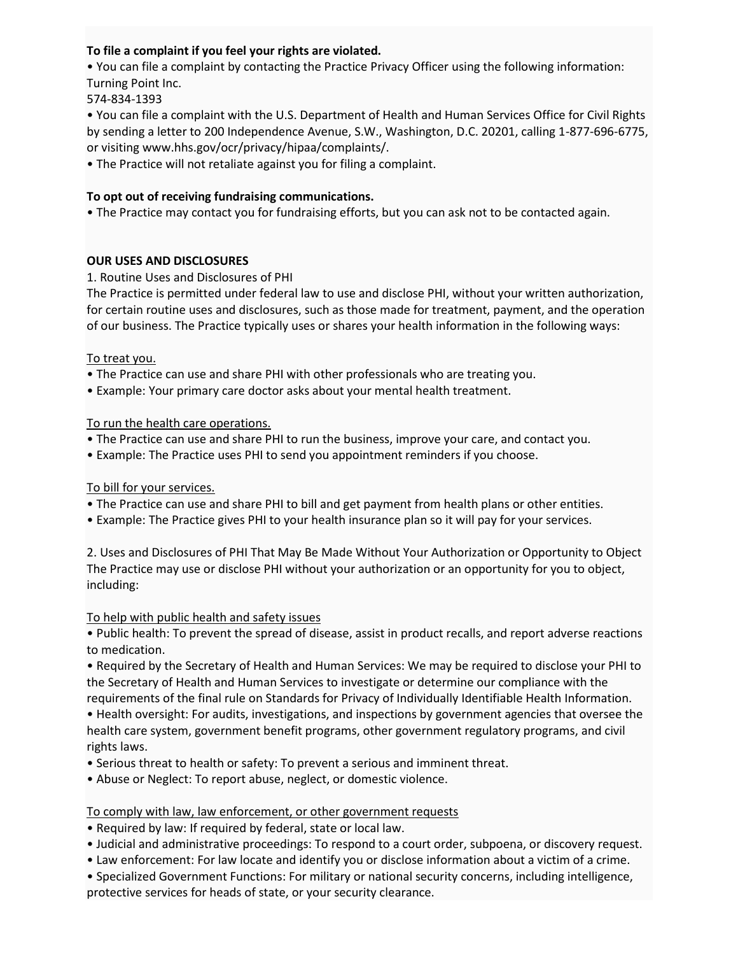## **To file a complaint if you feel your rights are violated.**

• You can file a complaint by contacting the Practice Privacy Officer using the following information: Turning Point Inc.

574-834-1393

• You can file a complaint with the U.S. Department of Health and Human Services Office for Civil Rights by sending a letter to 200 Independence Avenue, S.W., Washington, D.C. 20201, calling 1-877-696-6775, or visiting www.hhs.gov/ocr/privacy/hipaa/complaints/.

• The Practice will not retaliate against you for filing a complaint.

## **To opt out of receiving fundraising communications.**

• The Practice may contact you for fundraising efforts, but you can ask not to be contacted again.

### **OUR USES AND DISCLOSURES**

1. Routine Uses and Disclosures of PHI

The Practice is permitted under federal law to use and disclose PHI, without your written authorization, for certain routine uses and disclosures, such as those made for treatment, payment, and the operation of our business. The Practice typically uses or shares your health information in the following ways:

### To treat you.

- The Practice can use and share PHI with other professionals who are treating you.
- Example: Your primary care doctor asks about your mental health treatment.

### To run the health care operations.

- The Practice can use and share PHI to run the business, improve your care, and contact you.
- Example: The Practice uses PHI to send you appointment reminders if you choose.

### To bill for your services.

- The Practice can use and share PHI to bill and get payment from health plans or other entities.
- Example: The Practice gives PHI to your health insurance plan so it will pay for your services.

2. Uses and Disclosures of PHI That May Be Made Without Your Authorization or Opportunity to Object The Practice may use or disclose PHI without your authorization or an opportunity for you to object, including:

### To help with public health and safety issues

• Public health: To prevent the spread of disease, assist in product recalls, and report adverse reactions to medication.

• Required by the Secretary of Health and Human Services: We may be required to disclose your PHI to the Secretary of Health and Human Services to investigate or determine our compliance with the requirements of the final rule on Standards for Privacy of Individually Identifiable Health Information. • Health oversight: For audits, investigations, and inspections by government agencies that oversee the health care system, government benefit programs, other government regulatory programs, and civil rights laws.

- Serious threat to health or safety: To prevent a serious and imminent threat.
- Abuse or Neglect: To report abuse, neglect, or domestic violence.

### To comply with law, law enforcement, or other government requests

- Required by law: If required by federal, state or local law.
- Judicial and administrative proceedings: To respond to a court order, subpoena, or discovery request.
- Law enforcement: For law locate and identify you or disclose information about a victim of a crime.
- Specialized Government Functions: For military or national security concerns, including intelligence, protective services for heads of state, or your security clearance.